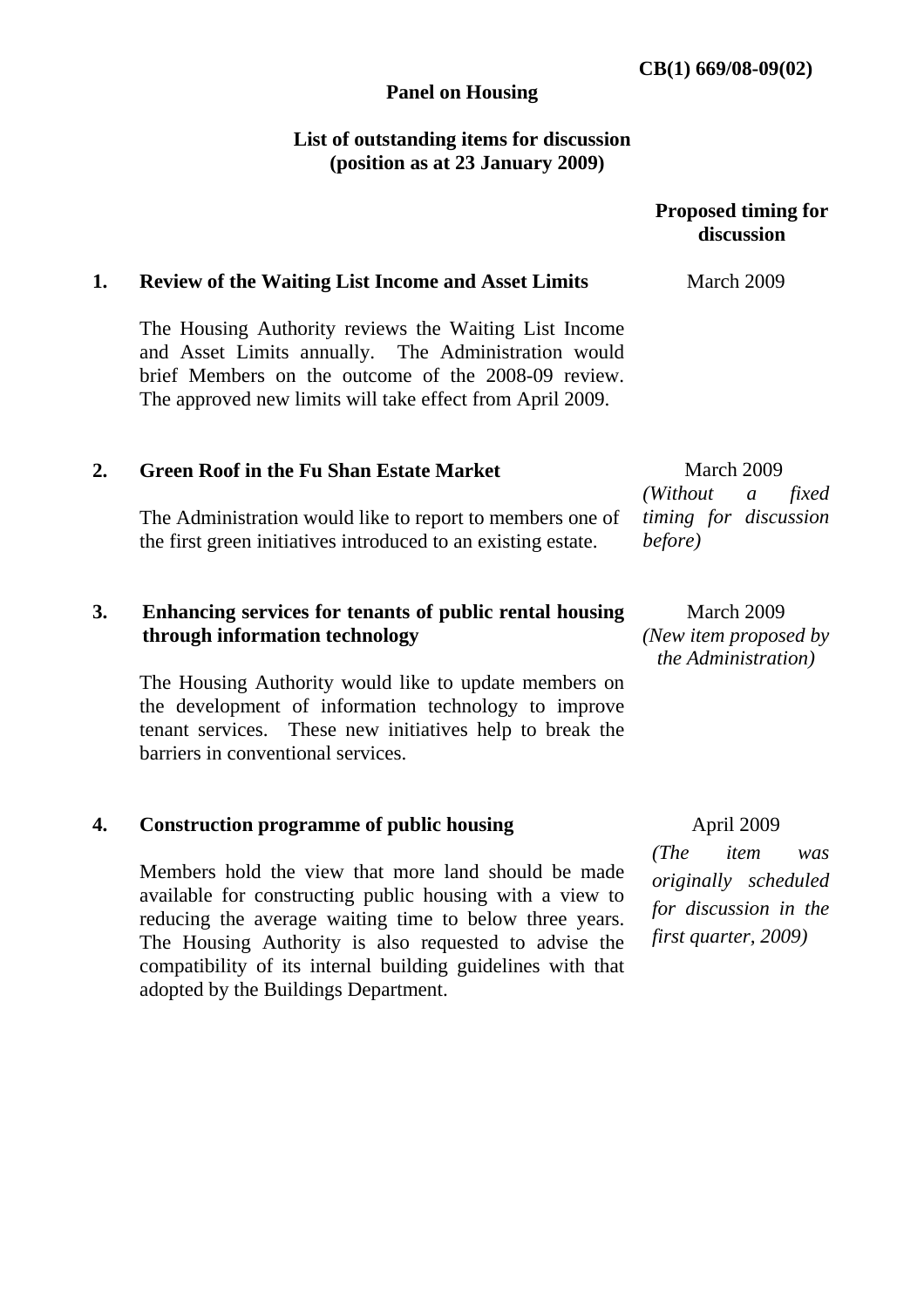### **Panel on Housing**

# **List of outstanding items for discussion (position as at 23 January 2009)**

|    |                                                                                                                                                                                                                                  | <b>Proposed timing for</b><br>discussion                   |
|----|----------------------------------------------------------------------------------------------------------------------------------------------------------------------------------------------------------------------------------|------------------------------------------------------------|
| 1. | <b>Review of the Waiting List Income and Asset Limits</b>                                                                                                                                                                        | March 2009                                                 |
|    | The Housing Authority reviews the Waiting List Income<br>and Asset Limits annually. The Administration would<br>brief Members on the outcome of the 2008-09 review.<br>The approved new limits will take effect from April 2009. |                                                            |
| 2. | <b>Green Roof in the Fu Shan Estate Market</b>                                                                                                                                                                                   | March 2009<br>(Without)<br>fixed<br>$\mathfrak{a}$         |
|    | The Administration would like to report to members one of<br>the first green initiatives introduced to an existing estate.                                                                                                       | timing for discussion<br>before)                           |
| 3. | Enhancing services for tenants of public rental housing<br>through information technology                                                                                                                                        | March 2009<br>(New item proposed by<br>the Administration) |
|    | The Housing Authority would like to update members on<br>the development of information technology to improve<br>tenant services. These new initiatives help to break the<br>barriers in conventional services.                  |                                                            |
| 4. | <b>Construction programme of public housing</b>                                                                                                                                                                                  | April 2009                                                 |
|    |                                                                                                                                                                                                                                  | $\mathbf{m}$ , $\mathbf{m}$                                |

Members hold the view that more land should be made available for constructing public housing with a view to reducing the average waiting time to below three years. The Housing Authority is also requested to advise the compatibility of its internal building guidelines with that adopted by the Buildings Department.

*(The item was originally scheduled for discussion in the first quarter, 2009)*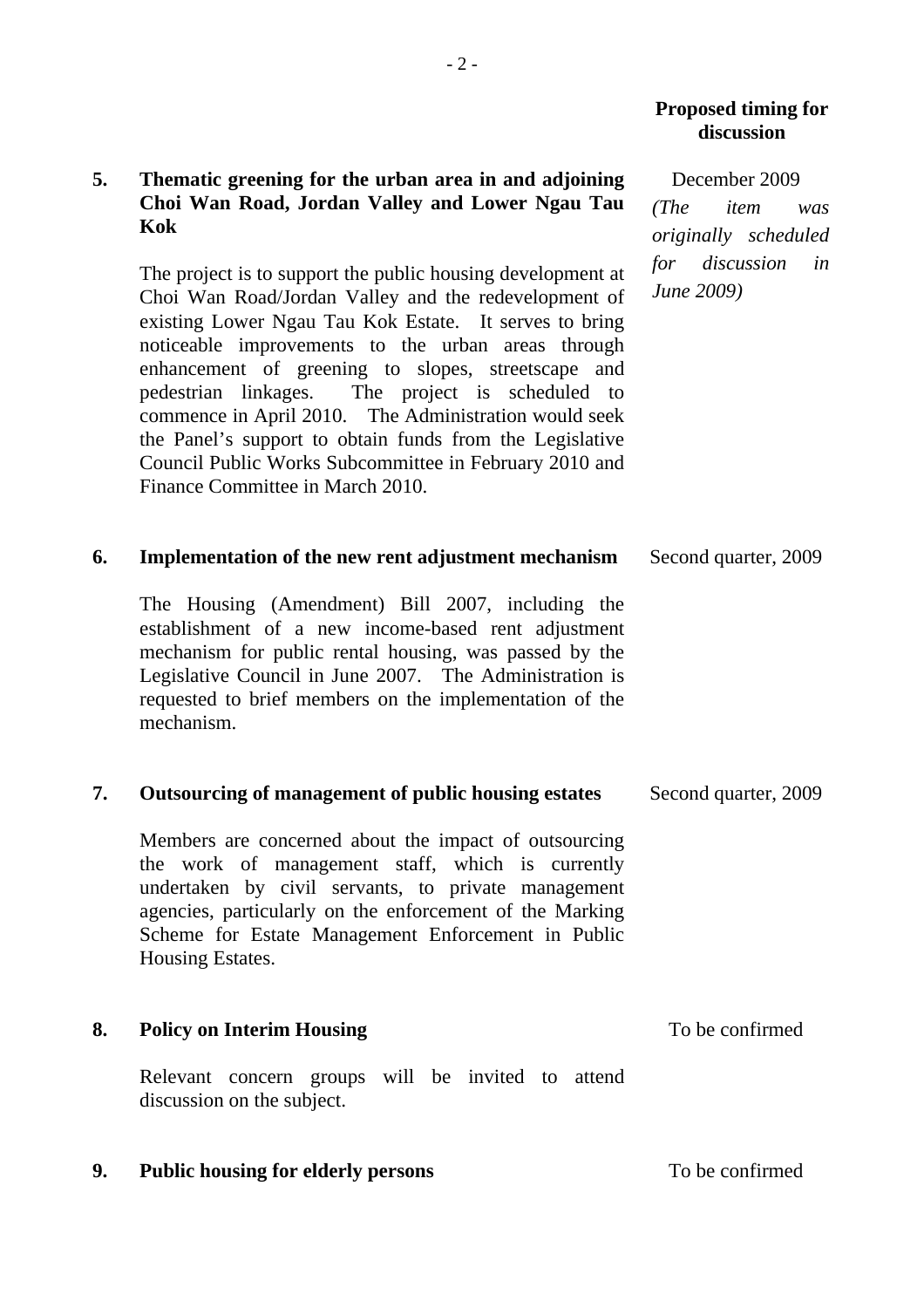### **Proposed timing for discussion**

# **5. Thematic greening for the urban area in and adjoining Choi Wan Road, Jordan Valley and Lower Ngau Tau Kok**

The project is to support the public housing development at Choi Wan Road/Jordan Valley and the redevelopment of existing Lower Ngau Tau Kok Estate. It serves to bring noticeable improvements to the urban areas through enhancement of greening to slopes, streetscape and pedestrian linkages. The project is scheduled to commence in April 2010. The Administration would seek the Panel's support to obtain funds from the Legislative Council Public Works Subcommittee in February 2010 and Finance Committee in March 2010.

December 2009 *(The item was originally scheduled for discussion in June 2009)* 

#### **6. Implementation of the new rent adjustment mechanism**  Second quarter, 2009

The Housing (Amendment) Bill 2007, including the establishment of a new income-based rent adjustment mechanism for public rental housing, was passed by the Legislative Council in June 2007. The Administration is requested to brief members on the implementation of the mechanism.

### **7. Outsourcing of management of public housing estates** Second quarter, 2009

Members are concerned about the impact of outsourcing the work of management staff, which is currently undertaken by civil servants, to private management agencies, particularly on the enforcement of the Marking Scheme for Estate Management Enforcement in Public Housing Estates.

### **8. Policy on Interim Housing**

Relevant concern groups will be invited to attend discussion on the subject.

### **9.** Public housing for elderly persons To be confirmed

To be confirmed